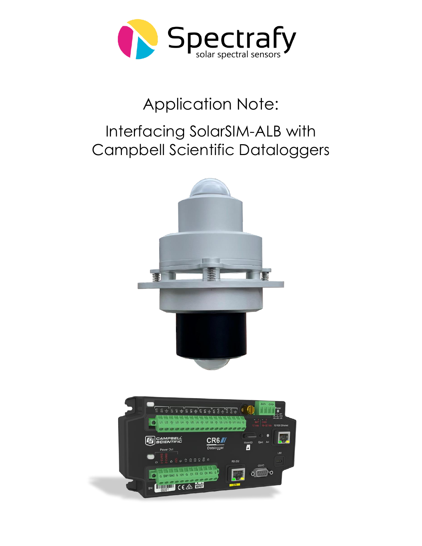

# Application Note:

## Interfacing SolarSIM-ALB with Campbell Scientific Dataloggers

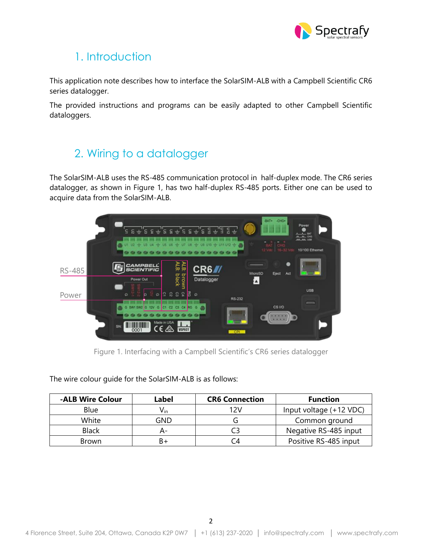

## 1. Introduction

This application note describes how to interface the SolarSIM-ALB with a Campbell Scientific CR6 series datalogger.

The provided instructions and programs can be easily adapted to other Campbell Scientific dataloggers.

## 2. Wiring to a datalogger

The SolarSIM-ALB uses the RS-485 communication protocol in half-duplex mode. The CR6 series datalogger, as shown in Figure 1, has two half-duplex RS-485 ports. Either one can be used to acquire data from the SolarSIM-ALB.



Figure 1. Interfacing with a Campbell Scientific's CR6 series datalogger

The wire colour guide for the SolarSIM-ALB is as follows:

| -ALB Wire Colour | Label                      | <b>CR6 Connection</b> | <b>Function</b>         |
|------------------|----------------------------|-----------------------|-------------------------|
| <b>Blue</b>      | $\mathsf{V}_{\mathsf{in}}$ | 12V                   | Input voltage (+12 VDC) |
| White            | GND                        |                       | Common ground           |
| <b>Black</b>     |                            |                       | Negative RS-485 input   |
| <b>Brown</b>     | B+                         |                       | Positive RS-485 input   |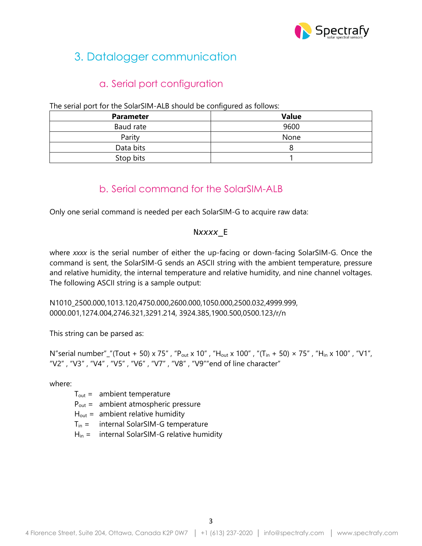

## 3. Datalogger communication

#### a. Serial port configuration

The serial port for the SolarSIM-ALB should be configured as follows:

| <b>Parameter</b> | <b>Value</b> |  |
|------------------|--------------|--|
| Baud rate        | 9600         |  |
| Parity           | None         |  |
| Data bits        |              |  |
| Stop bits        |              |  |

#### b. Serial command for the SolarSIM-ALB

Only one serial command is needed per each SolarSIM-G to acquire raw data:

#### N*xxxx*\_E

where *xxxx* is the serial number of either the up-facing or down-facing SolarSIM-G. Once the command is sent, the SolarSIM-G sends an ASCII string with the ambient temperature, pressure and relative humidity, the internal temperature and relative humidity, and nine channel voltages. The following ASCII string is a sample output:

N1010\_2500.000,1013.120,4750.000,2600.000,1050.000,2500.032,4999.999, 0000.001,1274.004,2746.321,3291.214, 3924.385,1900.500,0500.123/r/n

This string can be parsed as:

N"serial number"\_"(Tout + 50) x 75", "P<sub>out</sub> x 10", "H<sub>out</sub> x 100", "(T<sub>in</sub> + 50) × 75", "H<sub>in</sub> x 100", "V1", "V2" , "V3" , "V4" , "V5" , "V6" , "V7" , "V8" , "V9""end of line character"

where:

- $T_{\text{out}} =$  ambient temperature
- $P_{out}$  = ambient atmospheric pressure
- $H_{out}$  = ambient relative humidity
- $T_{in}$  = internal SolarSIM-G temperature
- $H_{in}$  = internal SolarSIM-G relative humidity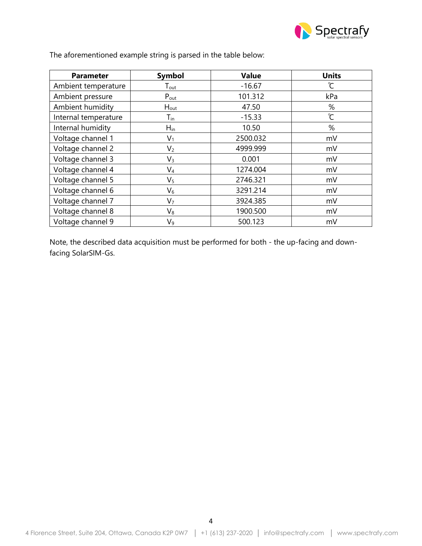

| <b>Parameter</b>     | <b>Symbol</b>               | <b>Value</b> | <b>Units</b> |
|----------------------|-----------------------------|--------------|--------------|
| Ambient temperature  | $\mathsf{T}_{\mathsf{out}}$ | $-16.67$     | $\infty$     |
| Ambient pressure     | $P_{\text{out}}$            | 101.312      | kPa          |
| Ambient humidity     | $H_{\text{out}}$            | 47.50        | %            |
| Internal temperature | $\mathsf{T}_{\mathsf{in}}$  | $-15.33$     | ີ            |
| Internal humidity    | $H_{\text{in}}$             | 10.50        | %            |
| Voltage channel 1    | $V_1$                       | 2500.032     | mV           |
| Voltage channel 2    | V <sub>2</sub>              | 4999.999     | mV           |
| Voltage channel 3    | $V_3$                       | 0.001        | mV           |
| Voltage channel 4    | $\mathsf{V}_4$              | 1274.004     | mV           |
| Voltage channel 5    | V <sub>5</sub>              | 2746.321     | mV           |
| Voltage channel 6    | $\mathsf{V}_6$              | 3291.214     | mV           |
| Voltage channel 7    | V <sub>7</sub>              | 3924.385     | mV           |
| Voltage channel 8    | $V_8$                       | 1900.500     | mV           |
| Voltage channel 9    | V9                          | 500.123      | mV           |

The aforementioned example string is parsed in the table below:

Note, the described data acquisition must be performed for both - the up-facing and downfacing SolarSIM-Gs.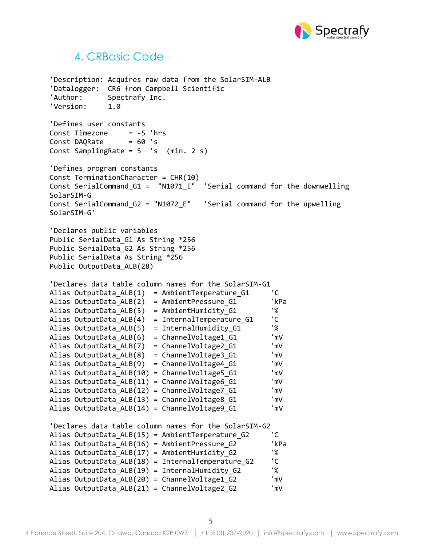

#### 4. CRBasic Code

'Description: Acquires raw data from the SolarSIM-ALB 'Datalogger: CR6 from Campbell Scientific 'Author: Spectrafy Inc. 'Version: 1.0 'Defines user constants Const Timezone = -5 'hrs  $Const$  DAORate  $= 60$  's Const SamplingRate = 5 's (min. 2 s) 'Defines program constants Const TerminationCharacter = CHR(10) Const SerialCommand\_G1 = "N1071\_E" 'Serial command for the downwelling SolarSIM-G Const SerialCommand\_G2 = "N1072\_E" 'Serial command for the upwelling SolarSIM-G' 'Declares public variables Public SerialData\_G1 As String \*256 Public SerialData\_G2 As String \*256 Public SerialData As String \*256 Public OutputData\_ALB(28) 'Declares data table column names for the SolarSIM-G1 Alias OutputData  $ALB(1) = AmbientTemperatureG1$  'C Alias OutputData\_ALB(2) = AmbientPressure\_G1 'kPa Alias OutputData\_ALB(3) = AmbientHumidity\_G1 '% Alias OutputData\_ALB(4) = InternalTemperature\_G1 'C Alias OutputData\_ALB(5) = InternalHumidity\_G1 '% Alias OutputData\_ALB(6) = ChannelVoltage1\_G1 'mV Alias OutputData\_ALB(7) = ChannelVoltage2\_G1 'mV Alias OutputData\_ALB(8) = ChannelVoltage3\_G1 'mV Alias OutputData\_ALB(9) = ChannelVoltage4\_G1 'mV Alias OutputData\_ALB(10) = ChannelVoltage5\_G1 'mV Alias OutputData ALB(11) = ChannelVoltage6\_G1 
l'mV Alias OutputData ALB(12) = ChannelVoltage7 G1 'mV Alias OutputData ALB(13) = ChannelVoltage8 G1 "mV Alias OutputData ALB(14) = ChannelVoltage9 G1 "mV 'Declares data table column names for the SolarSIM-G2 Alias OutputData\_ALB(15) = AmbientTemperature\_G2 'C Alias OutputData\_ALB(16) = AmbientPressure\_G2 'kPa Alias OutputData\_ALB(17) = AmbientHumidity G2 Alias OutputData\_ALB(18) = InternalTemperature\_G2 'C Alias OutputData ALB(19) = InternalHumidity G2  $\%$ Alias OutputData\_ALB(20) = ChannelVoltage1\_G2 'mV Alias OutputData\_ALB(21) = ChannelVoltage2\_G2 'mV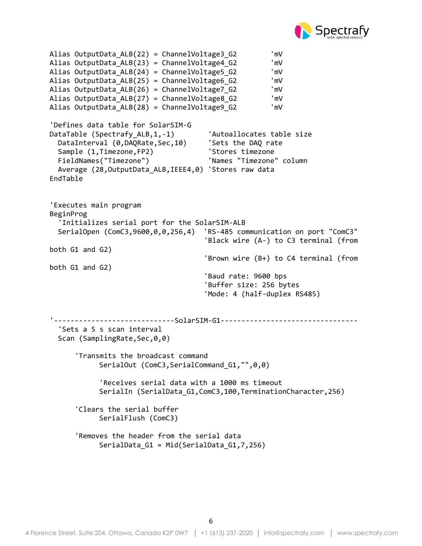

```
Alias OutputData ALB(22) = ChannelVoltage3 G2 'mV
Alias OutputData_ALB(23) = ChannelVoltage4_G2 'mV
Alias OutputData_ALB(24) = ChannelVoltage5_G2 'mV
Alias OutputData_ALB(25) = ChannelVoltage6_G2 'mV
Alias OutputData_ALB(26) = ChannelVoltage7_G2 'mV
Alias OutputData_ALB(27) = ChannelVoltage8_G2 'mV
Alias OutputData_ALB(28) = ChannelVoltage9_G2 'mV
'Defines data table for SolarSIM-G
DataTable (Spectrafy ALB,1,-1) 'Autoallocates table size
 DataInterval (0,DAQRate,Sec,10) 'Sets the DAQ rate
 Sample (1, Timezone, FP2) 'Stores timezone
  FieldNames("Timezone") 'Names "Timezone" column
  Average (28,OutputData_ALB,IEEE4,0) 'Stores raw data
EndTable
'Executes main program
BeginProg
   'Initializes serial port for the SolarSIM-ALB
  SerialOpen (ComC3,9600,0,0,256,4) 'RS-485 communication on port "ComC3"
                                     'Black wire (A-) to C3 terminal (from 
both G1 and G2)
                                     'Brown wire (B+) to C4 terminal (from 
both G1 and G2)
                                    'Baud rate: 9600 bps
                                    'Buffer size: 256 bytes
                                    'Mode: 4 (half-duplex RS485)
'-----------------------------SolarSIM-G1---------------------------------
   'Sets a 5 s scan interval
 Scan (SamplingRate,Sec,0,0)
       'Transmits the broadcast command 
           SerialOut (ComC3, SerialCommand G1, "", 0, 0)
            'Receives serial data with a 1000 ms timeout 
           SerialIn (SerialData_G1,ComC3,100,TerminationCharacter,256)
       'Clears the serial buffer
            SerialFlush (ComC3) 
       'Removes the header from the serial data 
           SerialData G1 = Mid(SerialData G1,7,256)
```